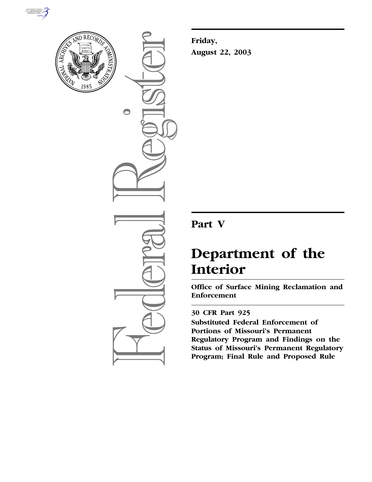



 $\bigcirc$ 

**Friday, August 22, 2003**

## **Part V**

# **Department of the Interior**

**Office of Surface Mining Reclamation and Enforcement** 

### **30 CFR Part 925**

**Substituted Federal Enforcement of Portions of Missouri's Permanent Regulatory Program and Findings on the Status of Missouri's Permanent Regulatory Program; Final Rule and Proposed Rule**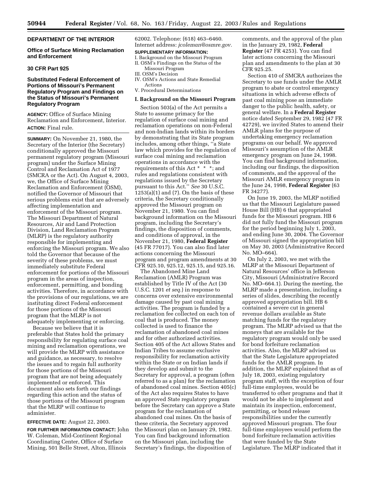#### **DEPARTMENT OF THE INTERIOR**

#### **Office of Surface Mining Reclamation and Enforcement**

#### **30 CFR Part 925**

#### **Substituted Federal Enforcement of Portions of Missouri's Permanent Regulatory Program and Findings on the Status of Missouri's Permanent Regulatory Program**

**AGENCY:** Office of Surface Mining Reclamation and Enforcement, Interior. **ACTION:** Final rule.

**SUMMARY:** On November 21, 1980, the Secretary of the Interior (the Secretary) conditionally approved the Missouri permanent regulatory program (Missouri program) under the Surface Mining Control and Reclamation Act of 1977 (SMCRA or the Act). On August 4, 2003, we, the Office of Surface Mining Reclamation and Enforcement (OSM), notified the Governor of Missouri that serious problems exist that are adversely affecting implementation and enforcement of the Missouri program. The Missouri Department of Natural Resources, Air and Land Protection Division, Land Reclamation Program (MLRP) is the regulatory authority responsible for implementing and enforcing the Missouri program. We also told the Governor that because of the severity of these problems, we must immediately substitute Federal enforcement for portions of the Missouri program in the areas of inspection, enforcement, permitting, and bonding activities. Therefore, in accordance with the provisions of our regulations, we are instituting direct Federal enforcement for those portions of the Missouri program that the MLRP is not adequately implementing or enforcing.

Because we believe that it is preferable that States hold the primary responsibility for regulating surface coal mining and reclamation operations, we will provide the MLRP with assistance and guidance, as necessary, to resolve the issues and to regain full authority for those portions of the Missouri program that are not being adequately implemented or enforced. This document also sets forth our findings regarding this action and the status of those portions of the Missouri program that the MLRP will continue to administer.

#### **EFFECTIVE DATE:** August 22, 2003.

**FOR FURTHER INFORMATION CONTACT:** John W. Coleman, Mid-Continent Regional Coordinating Center, Office of Surface Mining, 501 Belle Street, Alton, Illinois

62002. Telephone: (618) 463–6460. Internet address: *jcoleman@osmre.gov.*

#### **SUPPLEMENTARY INFORMATION:**

- I. Background on the Missouri Program II. OSM's Findings on the Status of the
- Missouri Program III. OSM's Decision
- IV. OSM's Actions and State Remedial Actions
- V. Procedural Determinations

#### **I. Background on the Missouri Program**

Section 503(a) of the Act permits a State to assume primacy for the regulation of surface coal mining and reclamation operations on non-Federal and non-Indian lands within its borders by demonstrating that its State program includes, among other things, ''a State law which provides for the regulation of surface coal mining and reclamation operations in accordance with the requirements of this Act \* \* \*; and rules and regulations consistent with regulations issued by the Secretary pursuant to this Act.'' *See* 30 U.S.C.  $1253(a)(1)$  and  $(7)$ . On the basis of these criteria, the Secretary conditionally approved the Missouri program on November 21, 1980. You can find background information on the Missouri program, including the Secretary's findings, the disposition of comments, and conditions of approval, in the November 21, 1980, **Federal Register** (45 FR 77017). You can also find later actions concerning the Missouri program and program amendments at 30 CFR 925.10, 925.12, 925.15, and 925.16.

The Abandoned Mine Land Reclamation (AMLR) Program was established by Title IV of the Act (30 U.S.C. 1201 *et seq.*) in response to concerns over extensive environmental damage caused by past coal mining activities. The program is funded by a reclamation fee collected on each ton of coal that is produced. The money collected is used to finance the reclamation of abandoned coal mines and for other authorized activities. Section 405 of the Act allows States and Indian Tribes to assume exclusive responsibility for reclamation activity within the State or on Indian lands if they develop and submit to the Secretary for approval, a program (often referred to as a plan) for the reclamation of abandoned coal mines. Section 405(c) of the Act also requires States to have an approved State regulatory program before the Secretary can approve a State program for the reclamation of abandoned coal mines. On the basis of these criteria, the Secretary approved the Missouri plan on January 29, 1982. You can find background information on the Missouri plan, including the Secretary's findings, the disposition of

comments, and the approval of the plan in the January 29, 1982, **Federal Register** (47 FR 4253). You can find later actions concerning the Missouri plan and amendments to the plan at 30 CFR 925.25.

Section 410 of SMCRA authorizes the Secretary to use funds under the AMLR program to abate or control emergency situations in which adverse effects of past coal mining pose an immediate danger to the public health, safety, or general welfare. In a **Federal Register** notice dated September 29, 1982 (47 FR 42729), we invited States to amend their AMLR plans for the purpose of undertaking emergency reclamation programs on our behalf. We approved Missouri's assumption of the AMLR emergency program on June 24, 1998. You can find background information, including our findings, the disposition of comments, and the approval of the Missouri AMLR emergency program in the June 24, 1998, **Federal Register** (63 FR 34277).

On June 19, 2003, the MLRP notified us that the Missouri Legislature passed House Bill (HB) 6 that appropriated funds for the Missouri program. HB 6 did not fully fund the Missouri program for the period beginning July 1, 2003, and ending June 30, 2004. The Governor of Missouri signed the appropriation bill on May 30, 2003 (Administrative Record No. MO–664).

On July 2, 2003, we met with the MLRP at the Missouri Department of Natural Resources' office in Jefferson City, Missouri (Administrative Record No. MO–664.1). During the meeting, the MLRP made a presentation, including a series of slides, describing the recently approved appropriation bill. HB 6 contained a severe cut in general revenue dollars available as State matching funds for the regulatory program. The MLRP advised us that the moneys that are available for the regulatory program would only be used for bond forfeiture reclamation activities. Also, the MLRP advised us that the State Legislature appropriated funds for the AMLR program. In addition, the MLRP explained that as of July 18, 2003, existing regulatory program staff, with the exception of four full-time employees, would be transferred to other programs and that it would not be able to implement and maintain its inspection, enforcement, permitting, or bond release responsibilities under the currently approved Missouri program. The four full-time employees would perform the bond forfeiture reclamation activities that were funded by the State Legislature. The MLRP indicated that it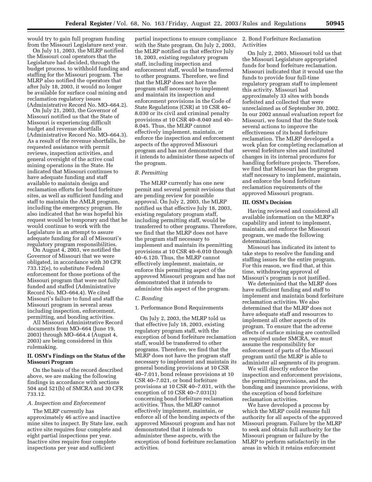would try to gain full program funding from the Missouri Legislature next year.

On July 11, 2003, the MLRP notified the Missouri coal operators that the Legislature had decided, through the budget process, to withhold funding and staffing for the Missouri program. The MLRP also notified the operators that after July 18, 2003, it would no longer be available for surface coal mining and reclamation regulatory issues (Administrative Record No. MO–664.2).

On July 21, 2003, the Governor of Missouri notified us that the State of Missouri is experiencing difficult budget and revenue shortfalls (Administrative Record No. MO–664.3). As a result of the revenue shortfalls, he requested assistance with permit reviews, inspection activities, and general oversight of the active coal mining operations in the State. He indicated that Missouri continues to have adequate funding and staff available to maintain design and reclamation efforts for bond forfeiture sites, as well as sufficient funding and staff to maintain the AMLR program, including the emergency program. He also indicated that he was hopeful his request would be temporary and that he would continue to work with the Legislature in an attempt to assure adequate funding for all of Missouri's regulatory program responsibilities.

On August 4, 2003, we notified the Governor of Missouri that we were obligated, in accordance with 30 CFR 733.12(e), to substitute Federal enforcement for those portions of the Missouri program that were not fully funded and staffed (Administrative Record No. MO–664.4). We cited Missouri's failure to fund and staff the Missouri program in several areas including inspection, enforcement, permitting, and bonding activities.

All Missouri Administrative Record documents from MO–664 (June 19, 2003) through MO–664.4 (August 4, 2003) are being considered in this rulemaking.

#### **II. OSM's Findings on the Status of the Missouri Program**

On the basis of the record described above, we are making the following findings in accordance with sections 504 and 521(b) of SMCRA and 30 CFR 733.12.

#### *A. Inspection and Enforcement*

The MLRP currently has approximately 46 active and inactive mine sites to inspect. By State law, each active site requires four complete and eight partial inspections per year. Inactive sites require four complete inspections per year and sufficient

partial inspections to ensure compliance with the State program. On July 2, 2003, the MLRP notified us that effective July 18, 2003, existing regulatory program staff, including inspection and enforcement staff, would be transferred to other programs. Therefore, we find that the MLRP does not have the program staff necessary to implement and maintain its inspection and enforcement provisions in the Code of State Regulations (CSR) at 10 CSR 40– 8.030 or its civil and criminal penalty provisions at 10 CSR 40–8.040 and 40– 8.045. Thus, the MLRP cannot effectively implement, maintain, or enforce the inspection and enforcement aspects of the approved Missouri program and has not demonstrated that it intends to administer these aspects of the program.

#### *B. Permitting*

The MLRP currently has one new permit and several permit revisions that are pending review for possible approval. On July 2, 2003, the MLRP notified us that effective July 18, 2003, existing regulatory program staff, including permitting staff, would be transferred to other programs. Therefore, we find that the MLRP does not have the program staff necessary to implement and maintain its permitting provisions at 10 CSR 40–6.010 through 40–6.120. Thus, the MLRP cannot effectively implement, maintain, or enforce this permitting aspect of the approved Missouri program and has not demonstrated that it intends to administer this aspect of the program.

#### *C. Bonding*

#### 1. Performance Bond Requirements

On July 2, 2003, the MLRP told us that effective July 18, 2003, existing regulatory program staff, with the exception of bond forfeiture reclamation staff, would be transferred to other programs. Therefore, we find that the MLRP does not have the program staff necessary to implement and maintain its general bonding provisions at 10 CSR 40–7.011, bond release provisions at 10 CSR 40–7.021, or bond forfeiture provisions at 10 CSR 40–7.031, with the exception of 10 CSR 40–7.031(3) concerning bond forfeiture reclamation activities. Thus, the MLRP cannot effectively implement, maintain, or enforce all of the bonding aspects of the approved Missouri program and has not demonstrated that it intends to administer these aspects, with the exception of bond forfeiture reclamation activities.

2. Bond Forfeiture Reclamation Activities

On July 2, 2003, Missouri told us that the Missouri Legislature appropriated funds for bond forfeiture reclamation. Missouri indicated that it would use the funds to provide four full-time regulatory program staff to implement this activity. Missouri had approximately 33 sites with bonds forfeited and collected that were unreclaimed as of September 30, 2002. In our 2002 annual evaluation report for Missouri, we found that the State took several actions to improve the effectiveness of its bond forfeiture reclamation. The MLRP developed a work plan for completing reclamation at several forfeiture sites and instituted changes in its internal procedures for handling forfeiture projects. Therefore, we find that Missouri has the program staff necessary to implement, maintain, and enforce the bond forfeiture reclamation requirements of the approved Missouri program.

#### **III. OSM's Decision**

Having reviewed and considered all available information on the MLRP's capability and intent to implement, maintain, and enforce the Missouri program, we made the following determinations.

Missouri has indicated its intent to take steps to resolve the funding and staffing issues for the entire program. For this reason, we find that, at this time, withdrawing approval of Missouri's program is not justified.

We determined that the MLRP does have sufficient funding and staff to implement and maintain bond forfeiture reclamation activities. We also determined that the MLRP does not have adequate staff and resources to implement all other aspects of its program. To ensure that the adverse effects of surface mining are controlled as required under SMCRA, we must assume the responsibility for enforcement of parts of the Missouri program until the MLRP is able to administer all segments of its program.

We will directly enforce the inspection and enforcement provisions, the permitting provisions, and the bonding and insurance provisions, with the exception of bond forfeiture reclamation activities.

We have developed a process by which the MLRP could resume full authority for all aspects of the approved Missouri program. Failure by the MLRP to seek and obtain full authority for the Missouri program or failure by the MLRP to perform satisfactorily in the areas in which it retains enforcement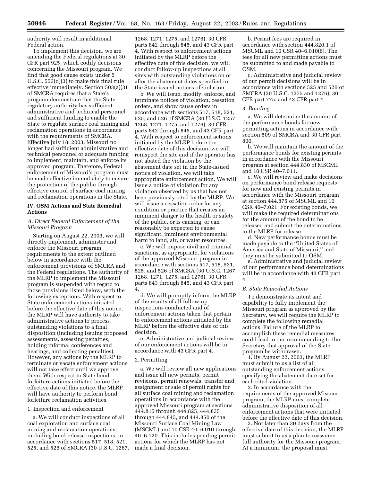authority will result in additional Federal action.

To implement this decision, we are amending the Federal regulations at 30 CFR part 925, which codify decisions concerning the Missouri program. We find that good cause exists under 5 U.S.C. 553(d)(3) to make this final rule effective immediately. Section 503(a)(3) of SMCRA requires that a State's program demonstrate that the State regulatory authority has sufficient administrative and technical personnel and sufficient funding to enable the State to regulate surface coal mining and reclamation operations in accordance with the requirements of SMCRA. Effective July 18, 2003, Missouri no longer had sufficient administrative and technical personnel or adequate funding to implement, maintain, and enforce its approved program. Therefore, Federal enforcement of Missouri's program must be made effective immediately to ensure the protection of the public through effective control of surface coal mining and reclamation operations in the State.

#### **IV. OSM Actions and State Remedial Actions**

#### *A. Direct Federal Enforcement of the Missouri Program*

Starting on August 22, 2003, we will directly implement, administer and enforce the Missouri program requirements to the extent outlined below in accordance with the enforcement provisions of SMCRA and the Federal regulations. The authority of the MLRP to implement the Missouri program is suspended with regard to those provisions listed below, with the following exceptions. With respect to State enforcement actions initiated before the effective date of this notice, the MLRP will have authority to take administrative actions to process outstanding violations to a final disposition (including issuing proposed assessments, assessing penalties, holding informal conferences and hearings, and collecting penalties). However, any actions by the MLRP to terminate or vacate enforcement actions will not take effect until we approve them. With respect to State bond forfeiture actions initiated before the effective date of this notice, the MLRP will have authority to perform bond forfeiture reclamation activities.

#### 1. Inspection and enforcement

a. We will conduct inspections of all coal exploration and surface coal mining and reclamation operations, including bond release inspections, in accordance with sections 517, 518, 521, 525, and 526 of SMCRA (30 U.S.C. 1267,

1268, 1271, 1275, and 1276), 30 CFR parts 842 through 845, and 43 CFR part 4. With respect to enforcement actions initiated by the MLRP before the effective date of this decision, we will conduct follow-up inspections at all sites with outstanding violations on or after the abatement dates specified in the State-issued notices of violation.

b. We will issue, modify, enforce, and terminate notices of violation, cessation orders, and show cause orders in accordance with sections 517, 518, 521, 525, and 526 of SMCRA (30 U.S.C. 1257, 1268, 1271, 1275, and 1276), 30 CFR parts 842 through 845, and 43 CFR part 4. With respect to enforcement actions initiated by the MLRP before the effective date of this decision, we will reinspect the site and if the operator has not abated the violation by the abatement date set in the State-issued notice of violation, we will take appropriate enforcement action. We will issue a notice of violation for any violation observed by us that has not been previously cited by the MLRP. We will issue a cessation order for any condition or practice that creates an imminent danger to the health or safety of the public, or is causing, or can reasonably be expected to cause significant, imminent environmental harm to land, air, or water resources.

c. We will impose civil and criminal sanctions, as appropriate, for violations of the approved Missouri program in accordance with sections 517, 518, 521, 525, and 526 of SMCRA (30 U.S.C. 1267, 1268, 1271, 1275, and 1276), 30 CFR parts 843 through 845, and 43 CFR part 4.

d. We will promptly inform the MLRP of the results of all follow-up inspections conducted and of enforcement actions taken that pertain to enforcement actions initiated by the MLRP before the effective date of this decision.

e. Administrative and judicial review of our enforcement actions will be in accordance with 43 CFR part 4.

#### 2. Permitting

a. We will review all new applications and issue all new permits, permit revisions, permit renewals, transfer and assignment or sale of permit rights for all surface coal mining and reclamation operations in accordance with the approved Missouri program at sections 444.815 through 444.825, 444.835 through 444.845, and 444.850 of the Missouri Surface Coal Mining Law (MSCML) and 10 CSR 40–6.010 through 40–6.120. This includes pending permit actions for which the MLRP has not made a final decision.

b. Permit fees are required in accordance with section 444.820.1 of MSCML and 10 CSR 40–6.010(6). The fees for all new permitting actions must be submitted to and made payable to OSM.

c. Administrative and judicial review of our permit decisions will be in accordance with sections 525 and 526 of SMCRA (30 U.S.C. 1275 and 1276), 30 CFR part 775, and 43 CFR part 4.

#### 3. *Bonding*

a. We will determine the amount of the performance bonds for new permitting actions in accordance with section 509 of SMCRA and 30 CFR part 800.

b. We will maintain the amount of the performance bonds for existing permits in accordance with the Missouri program at section 444.830 of MSCML and 10 CSR 40–7.011.

c. We will review and make decisions on performance bond release requests for new and existing permits in accordance with the Missouri program at section 444.875 of MSCML and 10 CSR 40–7.021. For existing bonds, we will make the required determinations for the amount of the bond to be released and submit the determinations to the MLRP for release.

d. New performance bonds must be made payable to the ''United States of America and State of Missouri,'' and they must be submitted to OSM.

e. Administrative and judicial review of our performance bond determinations will be in accordance with 43 CFR part 4.

#### *B. State Remedial Actions*

To demonstrate its intent and capability to fully implement the Missouri program as approved by the Secretary, we will require the MLRP to complete the following remedial actions. Failure of the MLRP to accomplish these remedial measures could lead to our recommending to the Secretary that approval of the State program be withdrawn.

1. By August 22, 2003, the MLRP must submit to us a list of all outstanding enforcement actions specifying the abatement date set for each cited violation.

2. In accordance with the requirements of the approved Missouri program, the MLRP must complete administrative disposition of all enforcement actions that were initiated before the effective date of this decision.

3. Not later than 30 days from the effective date of this decision, the MLRP must submit to us a plan to reassume full authority for the Missouri program. At a minimum, the proposal must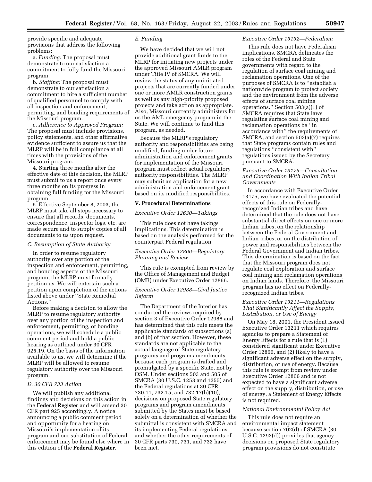provide specific and adequate provisions that address the following problems:

a. *Funding:* The proposal must demonstrate to our satisfaction a commitment to fully fund the Missouri program.

b. *Staffing:* The proposal must demonstrate to our satisfaction a commitment to hire a sufficient number of qualified personnel to comply with all inspection and enforcement, permitting, and bonding requirements of the Missouri program.

c. *Adherence to Approved Program:* The proposal must include provisions, policy statements, and other affirmative evidence sufficient to assure us that the MLRP will be in full compliance at all times with the provisions of the Missouri program.

4. Starting three months after the effective date of this decision, the MLRP must submit to us a report once every three months on its progress in obtaining full funding for the Missouri program.

5. Effective September 8, 2003, the MLRP must take all steps necessary to ensure that all records, documents, correspondence, inspector logs, etc. are made secure and to supply copies of all documents to us upon request.

#### *C. Resumption of State Authority*

In order to resume regulatory authority over any portion of the inspection and enforcement, permitting, and bonding aspects of the Missouri program, the MLRP must formally petition us. We will entertain such a petition upon completion of the actions listed above under ''State Remedial Actions.''

Before making a decision to allow the MLRP to resume regulatory authority over any portion of the inspection and enforcement, permitting, or bonding operations, we will schedule a public comment period and hold a public hearing as outlined under 30 CFR 925.19. On the basis of the information available to us, we will determine if the MLRP will be allowed to resume regulatory authority over the Missouri program.

#### *D. 30 CFR 733 Action*

We will publish any additional findings and decisions on this action in the **Federal Register** and will amend 30 CFR part 925 accordingly. A notice announcing a public comment period and opportunity for a hearing on Missouri's implementation of its program and our substitution of Federal enforcement may be found else where in this edition of the **Federal Register**.

#### *E. Funding*

We have decided that we will not provide additional grant funds to the MLRP for initiating new projects under the approved Missouri AMLR program under Title IV of SMCRA. We will review the status of any uninitiated projects that are currently funded under one or more AMLR construction grants as well as any high-priority proposed projects and take action as appropriate. Also, Missouri currently administers for us the AML emergency program in the State. We will continue to fund this program, as needed.

Because the MLRP's regulatory authority and responsibilities are being modified, funding under future administration and enforcement grants for implementation of the Missouri program must reflect actual regulatory authority responsibilities. The MLRP may submit an application for a new administration and enforcement grant based on its modified responsibilities.

#### **V. Procedural Determinations**

#### *Executive Order 12630—Takings*

This rule does not have takings implications. This determination is based on the analysis performed for the counterpart Federal regulation.

#### *Executive Order 12866—Regulatory Planning and Review*

This rule is exempted from review by the Office of Management and Budget (OMB) under Executive Order 12866.

#### *Executive Order 12988—Civil Justice Reform*

The Department of the Interior has conducted the reviews required by section 3 of Executive Order 12988 and has determined that this rule meets the applicable standards of subsections (a) and (b) of that section. However, these standards are not applicable to the actual language of State regulatory programs and program amendments because each program is drafted and promulgated by a specific State, not by OSM. Under sections 503 and 505 of SMCRA (30 U.S.C. 1253 and 1255) and the Federal regulations at 30 CFR 730.11, 732.15, and 732.17(h)(10), decisions on proposed State regulatory programs and program amendments submitted by the States must be based solely on a determination of whether the submittal is consistent with SMCRA and its implementing Federal regulations and whether the other requirements of 30 CFR parts 730, 731, and 732 have been met.

#### *Executive Order 13132—Federalism*

This rule does not have Federalism implications. SMCRA delineates the roles of the Federal and State governments with regard to the regulation of surface coal mining and reclamation operations. One of the purposes of SMCRA is to ''establish a nationwide program to protect society and the environment from the adverse effects of surface coal mining operations.'' Section 503(a)(1) of SMCRA requires that State laws regulating surface coal mining and reclamation operations be ''in accordance with'' the requirements of SMCRA, and section 503(a)(7) requires that State programs contain rules and regulations ''consistent with'' regulations issued by the Secretary pursuant to SMCRA.

#### *Executive Order 13175—Consultation and Coordination With Indian Tribal Governments*

In accordance with Executive Order 13175, we have evaluated the potential effects of this rule on Federallyrecognized Indian tribes and have determined that the rule does not have substantial direct effects on one or more Indian tribes, on the relationship between the Federal Government and Indian tribes, or on the distribution of power and responsibilities between the Federal Government and Indian tribes. This determination is based on the fact that the Missouri program does not regulate coal exploration and surface coal mining and reclamation operations on Indian lands. Therefore, the Missouri program has no effect on Federallyrecognized Indian tribes.

#### *Executive Order 13211—Regulations That Significantly Affect the Supply, Distribution, or Use of Energy*

On May 18, 2001, the President issued Executive Order 13211 which requires agencies to prepare a Statement of Energy Effects for a rule that is (1) considered significant under Executive Order 12866, and (2) likely to have a significant adverse effect on the supply, distribution, or use of energy. Because this rule is exempt from review under Executive Order 12866 and is not expected to have a significant adverse effect on the supply, distribution, or use of energy, a Statement of Energy Effects is not required.

#### *National Environmental Policy Act*

This rule does not require an environmental impact statement because section 702(d) of SMCRA (30 U.S.C. 1292(d)) provides that agency decisions on proposed State regulatory program provisions do not constitute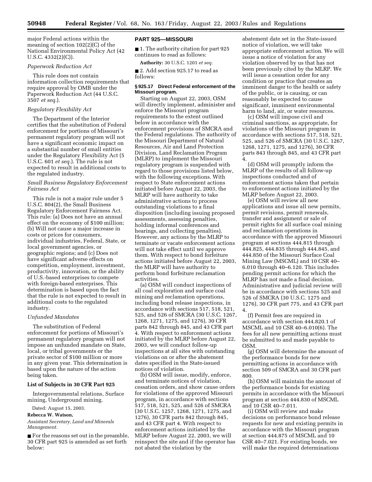major Federal actions within the meaning of section 102(2)(C) of the National Environmental Policy Act (42 U.S.C. 4332(2)(C)).

#### *Paperwork Reduction Act*

This rule does not contain information collection requirements that require approval by OMB under the Paperwork Reduction Act (44 U.S.C. 3507 *et seq.*).

#### *Regulatory Flexibility Act*

The Department of the Interior certifies that the substitution of Federal enforcement for portions of Missouri's permanent regulatory program will not have a significant economic impact on a substantial number of small entities under the Regulatory Flexibility Act (5 U.S.C. 601 *et seq.*). The rule is not expected to result in additional costs to the regulated industry.

#### *Small Business Regulatory Enforcement Fairness Act*

This rule is not a major rule under 5 U.S.C. 804(2), the Small Business Regulatory Enforcement Fairness Act. This rule: (a) Does not have an annual effect on the economy of \$100 million; (b) Will not cause a major increase in costs or prices for consumers, individual industries, Federal, State, or local government agencies, or geographic regions; and (c) Does not have significant adverse effects on competition, employment, investment, productivity, innovation, or the ability of U.S.-based enterprises to compete with foreign-based enterprises. This determination is based upon the fact that the rule is not expected to result in additional costs to the regulated industry.

#### *Unfunded Mandates*

The substitution of Federal enforcement for portions of Missouri's permanent regulatory program will not impose an unfunded mandate on State, local, or tribal governments or the private sector of \$100 million or more in any given year. This determination is based upon the nature of the action being taken.

#### **List of Subjects in 30 CFR Part 925**

Intergovernmental relations, Surface mining, Underground mining.

Dated: August 15, 2003.

#### **Rebecca W. Watson,**

*Assistant Secretary, Land and Minerals Management.*

■ For the reasons set out in the preamble, 30 CFR part 925 is amended as set forth below:

#### **PART 925—MISSOURI**

■ 1. The authority citation for part 925 continues to read as follows:

**Authority:** 30 U.S.C. 1201 *et seq.*

■ 2. Add section 925.17 to read as follows:

#### **§ 925.17 Direct Federal enforcement of the Missouri program.**

Starting on August 22, 2003, OSM will directly implement, administer and enforce the Missouri program requirements to the extent outlined below in accordance with the enforcement provisions of SMCRA and the Federal regulations. The authority of the Missouri Department of Natural Resources, Air and Land Protection Division, Land Reclamation Program (MLRP) to implement the Missouri regulatory program is suspended with regard to those provisions listed below, with the following exceptions. With respect to State enforcement actions initiated before August 22, 2003, the MLRP will have authority to take administrative actions to process outstanding violations to a final disposition (including issuing proposed assessments, assessing penalties, holding informal conferences and hearings, and collecting penalties). However, any actions by the MLRP to terminate or vacate enforcement actions will not take effect until we approve them. With respect to bond forfeiture actions initiated before August 22, 2003, the MLRP will have authority to perform bond forfeiture reclamation activities.

(a) OSM will conduct inspections of all coal exploration and surface coal mining and reclamation operations, including bond release inspections, in accordance with sections 517, 518, 521, 525, and 526 of SMCRA (30 U.S.C. 1267, 1268, 1271, 1275, and 1276), 30 CFR parts 842 through 845, and 43 CFR part 4. With respect to enforcement actions initiated by the MLRP before August 22, 2003, we will conduct follow-up inspections at all sites with outstanding violations on or after the abatement dates specified in the State-issued notices of violation.

(b) OSM will issue, modify, enforce, and terminate notices of violation, cessation orders, and show cause orders for violations of the approved Missouri program, in accordance with sections 517, 518, 521, 525, and 526 of SMCRA (30 U.S.C. 1257, 1268, 1271, 1275, and 1276), 30 CFR parts 842 through 845, and 43 CFR part 4. With respect to enforcement actions initiated by the MLRP before August 22, 2003, we will reinspect the site and if the operator has not abated the violation by the

abatement date set in the State-issued notice of violation, we will take appropriate enforcement action. We will issue a notice of violation for any violation observed by us that has not been previously cited by the MLRP. We will issue a cessation order for any condition or practice that creates an imminent danger to the health or safety of the public, or is causing, or can reasonably be expected to cause significant, imminent environmental harm to land, air, or water resources.

(c) OSM will impose civil and criminal sanctions, as appropriate, for violations of the Missouri program in accordance with sections 517, 518, 521, 525, and 526 of SMCRA (30 U.S.C. 1267, 1268, 1271, 1275, and 1276), 30 CFR parts 843 through 845, and 43 CFR part 4.

(d) OSM will promptly inform the MLRP of the results of all follow-up inspections conducted and of enforcement actions taken that pertain to enforcement actions initiated by the MLRP before August 22, 2003.

(e) OSM will review all new applications and issue all new permits, permit revisions, permit renewals, transfer and assignment or sale of permit rights for all surface coal mining and reclamation operations in accordance with the approved Missouri program at sections 444.815 through 444.825, 444.835 through 444.845, and 444.850 of the Missouri Surface Coal Mining Law (MSCML) and 10 CSR 40– 6.010 through 40–6.120. This includes pending permit actions for which the MLRP has not made a final decision. Administrative and judicial review will be in accordance with sections 525 and 526 of SMCRA (30 U.S.C. 1275 and 1276), 30 CFR part 775, and 43 CFR part 4.

(f) Permit fees are required in accordance with section 444.820.1 of MSCML and 10 CSR 40–6.010(6). The fees for all new permitting actions must be submitted to and made payable to OSM.

(g) OSM will determine the amount of the performance bonds for new permitting actions in accordance with section 509 of SMCRA and 30 CFR part 800.

(h) OSM will maintain the amount of the performance bonds for existing permits in accordance with the Missouri program at section 444.830 of MSCML and 10 CSR 40–7.011.

(i) OSM will review and make decisions on performance bond release requests for new and existing permits in accordance with the Missouri program at section 444.875 of MSCML and 10 CSR 40–7.021. For existing bonds, we will make the required determinations